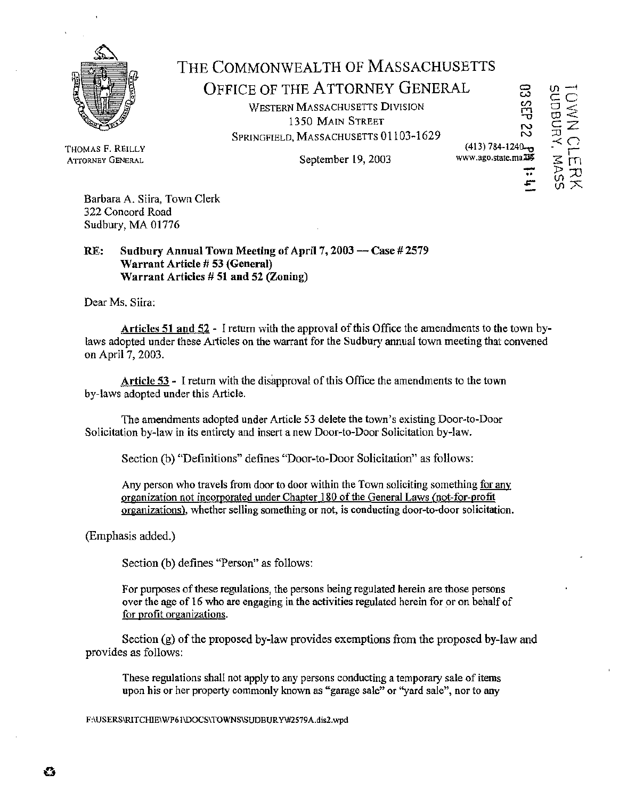

## THE COMMONWEALTH OF MASSACHUSETTS

OFFICE OF THE ATTORNEY GENERAL

WESTERN MASSACHUSETTS DIVISION 1350 MAIN STREET

SPRINGFIELD, MASSACHUSETTS 01103-1629

 $\mathbb{S}$ ನೆ<br>^ (413) 784-1240 <del>დ</del> www.ago.state.ma**.ue**<br>---<br>---

 $\Xi$ 

SUDBURY, MASS BWN CLE

THOMAS F. REILLY

ATTORNEY GENERAL September 19, 2003

Barbara A. Siira, Town Clerk 322 Concord Road Sudbury, MA 01776

## RE: Sudbury Annual Town Meeting of April 7, 2003 - Case # 2579 Warrant Article# 53 (General) Warrant Articles  $# 51$  and  $52$  (Zoning)

Dear Ms. Siira:

Articles 51 and  $52$  - I return with the approval of this Office the amendments to the town bylaws adopted under these A1ticles on the warrant for the Sudbury annual town meeting that convened on April 7, 2003.

Article  $53$  - I return with the disapproval of this Office the amendments to the town by-laws adopted under this Article.

The amendments adopted under Article 53 delete the town's existing Door-to-Door Solicitation by-law in its entirety and insert a new Door-to-Door Solicitation by-law.

Section (b) "Definitions" defines "Door-to-Door Solicitation" as follows:

Any person who travels from door to door within the Town soliciting something for any organization not incorporated under Chapter 180 of the General Laws (not-for-profit organizations), whether selling something or not, is conducting door-to-door solicitation.

(Emphasis added.)

Section (b) defines "Person" as follows:

For purposes of these regulations, the persons being regulated herein are those persons over the age of 16 who are engaging in the activities regulated herein for or on behalf of for profit organizations.

Section (g) of the proposed by-law provides exemptions from the proposed by-law and provides as follows:

These regulations shall not apply to any persons conducting a temporary sale of items upon his or her property commonly known as "garage sale" or "yard sale", nor to any

F:\USERS\RITClllE\WP6l\DOCS\TOWNS\SUDBURY\#2579A.dis2.wpd

Ø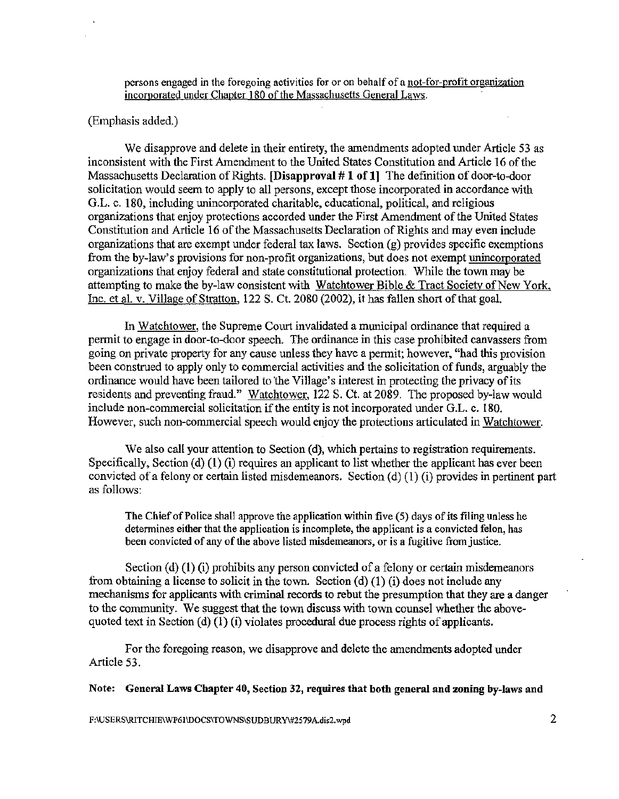persons engaged in the foregoing activities for or on behalf of a not-for-profit organization incorporated under Chapter I 80 of the Massachusetts General Laws.

## (Emphasis added.)

We disapprove and delete in their entirety, the amendments adopted under Article 53 as inconsistent with the First Amendment to the United States Constitution and Article 16 of the Massachusetts Declaration of Rights. [Disapproval # 1 of 1] The definition of door-to-door solicitation would seem to apply to all persons, except those incorporated in accordance with G.L. c. 180, including unincorporated charitable, educational, political, and religious organizations that enjoy protections accorded under the First Amendment of the United States Constitution and Article 16 of the Massachusetts Declaration of Rights and may even include organizations that are exempt under federal tax laws. Section  $(g)$  provides specific exemptions from the by-law's provisions for non-profit organizations, but does not exempt unincorporated organizations that enjoy federal and state constitutional protection. While the town may be attempting to make the by-law consistent with Watchtower Bible  $\&$  Tract Society of New York. Inc. et al. v. Village of Stratton, 122 S. Ct. 2080 (2002), it has fallen short of that goal.

In Watchtower, the Supreme Court invalidated a municipal ordinance that required a permit to engage in door-to-door speech. The ordinance in this case prohibited canvassers from going on private property for any cause unless they have a permit; however, "had this provision been construed to apply only to commercial activities and the solicitation of funds, arguably the ordinance would have been tailored to 'the Village's interest in protecting the privacy of its residents and preventing fraud." Watchtower, 122 S. Ct. at 2089. The proposed by-law would include non-commercial solicitation if the entity is not incorporated under G.L. c. 180. However, such non-commercial speech would enjoy the protections articulated in Watchtower.

We also call your attention to Section (d), which pertains to registration requirements. Specifically, Section (d) (1) (i) requires an applicant to list whether the applicant has ever been convicted of a felony or certain listed misdemeanors. Section (d) (1) (i) provides in pertinent part as follows:

The Chief of Police shall approve the application within five (5) days of its filing unless he determines either that the application is incomplete, the applicant is a convicted felon, has been convicted of any of the above listed misdemeanors, or is a fugitive from justice.

Section (d) (1) (i) prohibits any person convicted of a felony or certain misdemeanors from obtaining a license to solicit in the town. Section (d) (1) (i) does not include any mechanisms for applicants with criminal records to rebut the presumption that they are a danger to the community. We suggest that the town discuss with town counsel whether the abovequoted text in Section (d) (1) (i) violates procedural due process rights of applicants.

For the foregoing reason, we disapprove and delete the amendments adopted under Article 53.

## Note: General Laws Chapter 40, Section 32, requires that both general and zoning by-laws and

F:\USERS\RITCHIE\WP6I\DOCS\TOWNS\SUDBURY\#2579A.dis2.wpd 2